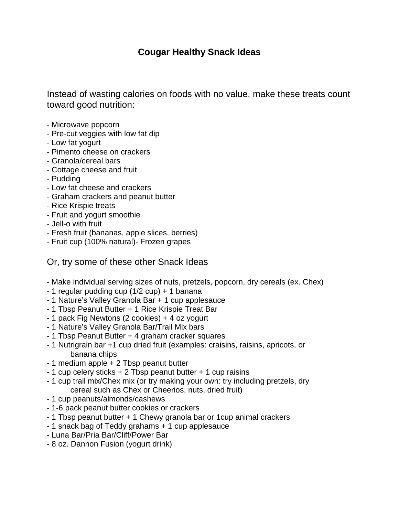## **Cougar Healthy Snack Ideas**

Instead of wasting calories on foods with no value, make these treats count toward good nutrition:

- Microwave popcorn
- Pre-cut veggies with low fat dip
- Low fat yogurt
- Pimento cheese on crackers
- Granola/cereal bars
- Cottage cheese and fruit
- Pudding
- Low fat cheese and crackers
- Graham crackers and peanut butter
- Rice Krispie treats
- Fruit and yogurt smoothie
- Jell-o with fruit
- Fresh fruit (bananas, apple slices, berries)
- Fruit cup (100% natural)- Frozen grapes

## Or, try some of these other Snack Ideas

- Make individual serving sizes of nuts, pretzels, popcorn, dry cereals (ex. Chex)
- 1 regular pudding cup (1/2 cup) + 1 banana
- 1 Nature's Valley Granola Bar + 1 cup applesauce
- 1 Tbsp Peanut Butter + 1 Rice Krispie Treat Bar
- 1 pack Fig Newtons (2 cookies) + 4 oz yogurt
- 1 Nature's Valley Granola Bar/Trail Mix bars
- 1 Tbsp Peanut Butter + 4 graham cracker squares
- 1 Nutrigrain bar +1 cup dried fruit (examples: craisins, raisins, apricots, or banana chips
- 1 medium apple + 2 Tbsp peanut butter
- 1 cup celery sticks + 2 Tbsp peanut butter + 1 cup raisins
- 1 cup trail mix/Chex mix (or try making your own: try including pretzels, dry cereal such as Chex or Cheerios, nuts, dried fruit)
- 1 cup peanuts/almonds/cashews
- 1-6 pack peanut butter cookies or crackers
- 1 Tbsp peanut butter + 1 Chewy granola bar or 1cup animal crackers
- 1 snack bag of Teddy grahams + 1 cup applesauce
- Luna Bar/Pria Bar/Cliff/Power Bar
- 8 oz. Dannon Fusion (yogurt drink)